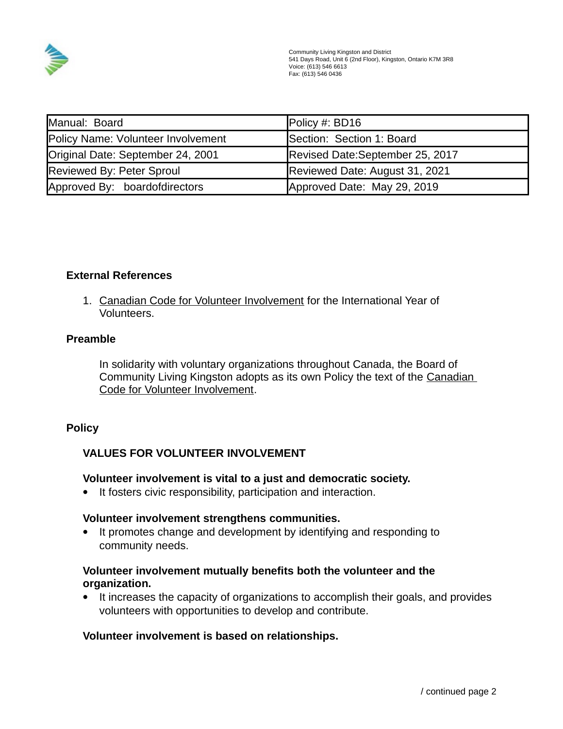

| Manual: Board                      | Policy #: BD16                  |
|------------------------------------|---------------------------------|
| Policy Name: Volunteer Involvement | Section: Section 1: Board       |
| Original Date: September 24, 2001  | Revised Date:September 25, 2017 |
| Reviewed By: Peter Sproul          | Reviewed Date: August 31, 2021  |
| Approved By: boardofdirectors      | Approved Date: May 29, 2019     |

### **External References**

1. Canadian Code for Volunteer Involvement for the International Year of Volunteers.

#### **Preamble**

In solidarity with voluntary organizations throughout Canada, the Board of Community Living Kingston adopts as its own Policy the text of the Canadian Code for Volunteer Involvement.

## **Policy**

## **VALUES FOR VOLUNTEER INVOLVEMENT**

#### **Volunteer involvement is vital to a just and democratic society.**

• It fosters civic responsibility, participation and interaction.

#### **Volunteer involvement strengthens communities.**

• It promotes change and development by identifying and responding to community needs.

### **Volunteer involvement mutually benefits both the volunteer and the organization.**

 It increases the capacity of organizations to accomplish their goals, and provides volunteers with opportunities to develop and contribute.

#### **Volunteer involvement is based on relationships.**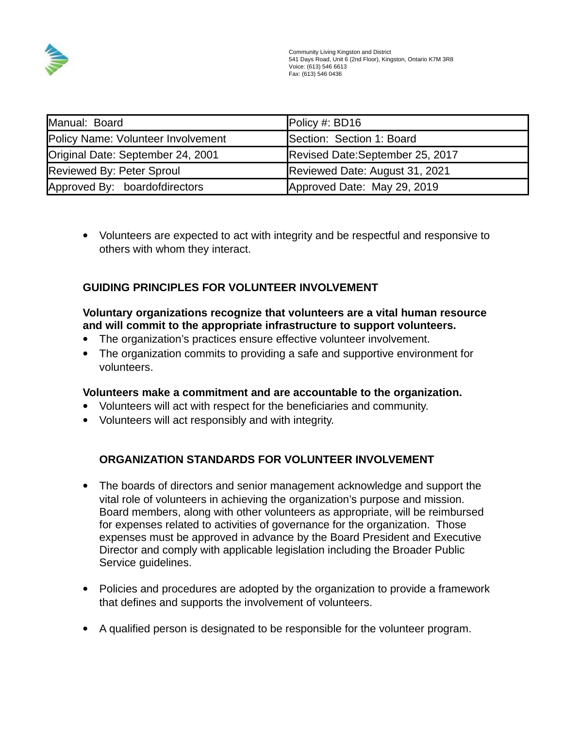

| Manual: Board                      | Policy #: BD16                  |
|------------------------------------|---------------------------------|
| Policy Name: Volunteer Involvement | Section: Section 1: Board       |
| Original Date: September 24, 2001  | Revised Date:September 25, 2017 |
| <b>Reviewed By: Peter Sproul</b>   | Reviewed Date: August 31, 2021  |
| Approved By: boardofdirectors      | Approved Date: May 29, 2019     |

 Volunteers are expected to act with integrity and be respectful and responsive to others with whom they interact.

# **GUIDING PRINCIPLES FOR VOLUNTEER INVOLVEMENT**

# **Voluntary organizations recognize that volunteers are a vital human resource and will commit to the appropriate infrastructure to support volunteers.**

- The organization's practices ensure effective volunteer involvement.
- The organization commits to providing a safe and supportive environment for volunteers.

## **Volunteers make a commitment and are accountable to the organization.**

- Volunteers will act with respect for the beneficiaries and community.
- Volunteers will act responsibly and with integrity.

# **ORGANIZATION STANDARDS FOR VOLUNTEER INVOLVEMENT**

- The boards of directors and senior management acknowledge and support the vital role of volunteers in achieving the organization's purpose and mission. Board members, along with other volunteers as appropriate, will be reimbursed for expenses related to activities of governance for the organization. Those expenses must be approved in advance by the Board President and Executive Director and comply with applicable legislation including the Broader Public Service guidelines.
- Policies and procedures are adopted by the organization to provide a framework that defines and supports the involvement of volunteers.
- A qualified person is designated to be responsible for the volunteer program.